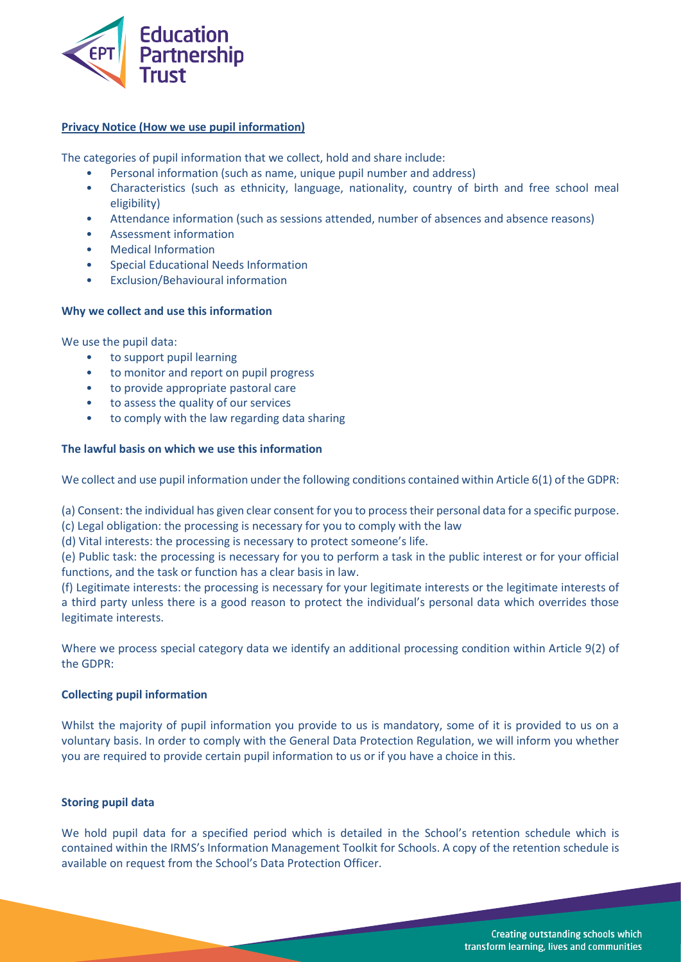

# **Privacy Notice (How we use pupil information)**

The categories of pupil information that we collect, hold and share include:

- Personal information (such as name, unique pupil number and address)
- Characteristics (such as ethnicity, language, nationality, country of birth and free school meal eligibility)
- Attendance information (such as sessions attended, number of absences and absence reasons)
- Assessment information
- Medical Information
- Special Educational Needs Information
- Exclusion/Behavioural information

# **Why we collect and use this information**

We use the pupil data:

- to support pupil learning
- to monitor and report on pupil progress
- to provide appropriate pastoral care
- to assess the quality of our services
- to comply with the law regarding data sharing

# **The lawful basis on which we use this information**

We collect and use pupil information under the following conditions contained within Article 6(1) of the GDPR:

(a) Consent: the individual has given clear consent for you to process their personal data for a specific purpose.

(c) Legal obligation: the processing is necessary for you to comply with the law

(d) Vital interests: the processing is necessary to protect someone's life.

(e) Public task: the processing is necessary for you to perform a task in the public interest or for your official functions, and the task or function has a clear basis in law.

(f) Legitimate interests: the processing is necessary for your legitimate interests or the legitimate interests of a third party unless there is a good reason to protect the individual's personal data which overrides those legitimate interests.

Where we process special category data we identify an additional processing condition within Article 9(2) of the GDPR:

# **Collecting pupil information**

Whilst the majority of pupil information you provide to us is mandatory, some of it is provided to us on a voluntary basis. In order to comply with the General Data Protection Regulation, we will inform you whether you are required to provide certain pupil information to us or if you have a choice in this.

# **Storing pupil data**

We hold pupil data for a specified period which is detailed in the School's retention schedule which is contained within the IRMS's Information Management Toolkit for Schools. A copy of the retention schedule is available on request from the School's Data Protection Officer.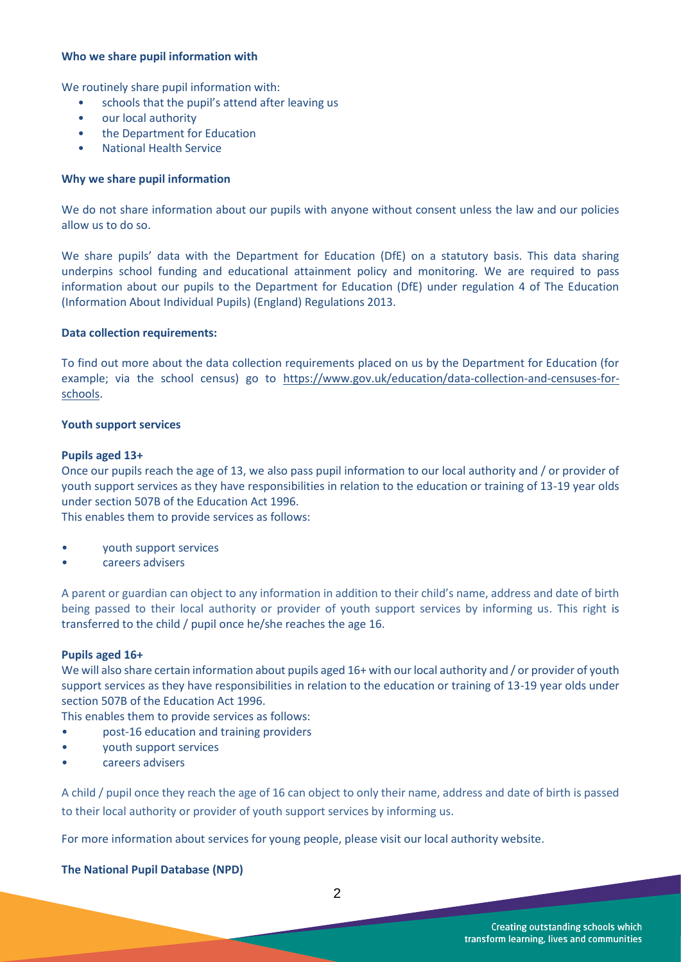#### **Who we share pupil information with**

We routinely share pupil information with:

- schools that the pupil's attend after leaving us
- our local authority
- the Department for Education
- National Health Service

# **Why we share pupil information**

We do not share information about our pupils with anyone without consent unless the law and our policies allow us to do so.

We share pupils' data with the Department for Education (DfE) on a statutory basis. This data sharing underpins school funding and educational attainment policy and monitoring. We are required to pass information about our pupils to the Department for Education (DfE) under regulation 4 of The Education (Information About Individual Pupils) (England) Regulations 2013.

#### **Data collection requirements:**

To find out more about the data collection requirements placed on us by the Department for Education (for example; via the school census) go to [https://www.gov.uk/education/data-collection-and-censuses-for](https://www.gov.uk/education/data-collection-and-censuses-for-schools)[schools.](https://www.gov.uk/education/data-collection-and-censuses-for-schools)

# **Youth support services**

#### **Pupils aged 13+**

Once our pupils reach the age of 13, we also pass pupil information to our local authority and / or provider of youth support services as they have responsibilities in relation to the education or training of 13-19 year olds under section 507B of the Education Act 1996.

This enables them to provide services as follows:

- youth support services
- careers advisers

A parent or guardian can object to any information in addition to their child's name, address and date of birth being passed to their local authority or provider of youth support services by informing us. This right is transferred to the child / pupil once he/she reaches the age 16.

#### **Pupils aged 16+**

We will also share certain information about pupils aged 16+ with our local authority and / or provider of youth support services as they have responsibilities in relation to the education or training of 13-19 year olds under section 507B of the Education Act 1996.

This enables them to provide services as follows:

- post-16 education and training providers
- youth support services
- careers advisers

A child / pupil once they reach the age of 16 can object to only their name, address and date of birth is passed to their local authority or provider of youth support services by informing us.

For more information about services for young people, please visit our local authority website.

# **The National Pupil Database (NPD)**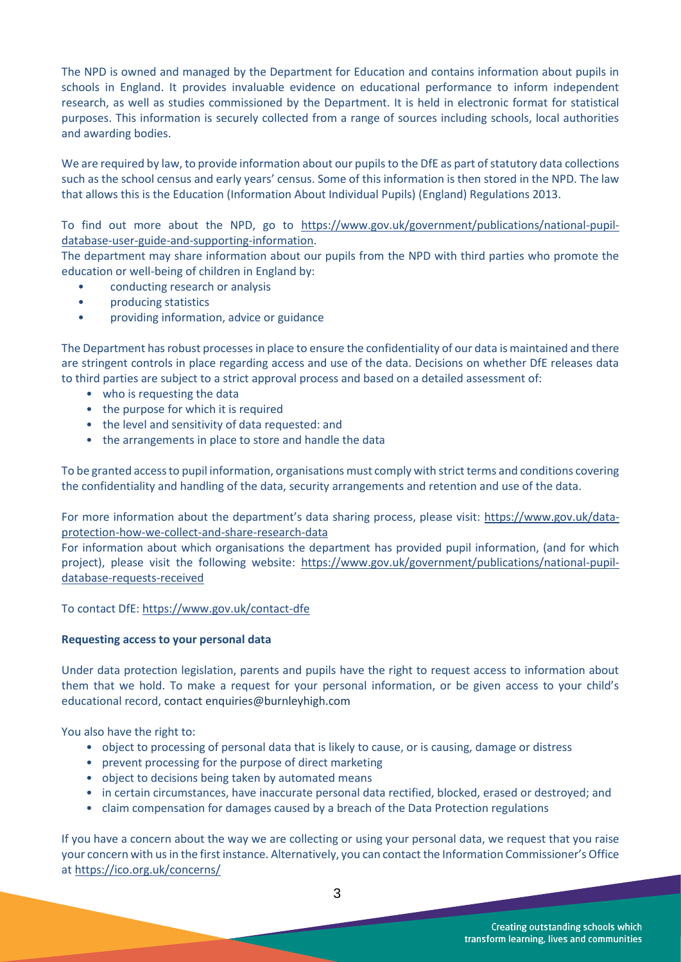The NPD is owned and managed by the Department for Education and contains information about pupils in schools in England. It provides invaluable evidence on educational performance to inform independent research, as well as studies commissioned by the Department. It is held in electronic format for statistical purposes. This information is securely collected from a range of sources including schools, local authorities and awarding bodies.

We are required by law, to provide information about our pupils to the DfE as part of statutory data collections such as the school census and early years' census. Some of this information is then stored in the NPD. The law that allows this is the Education (Information About Individual Pupils) (England) Regulations 2013.

To find out more about the NPD, go to [https://www.gov.uk/government/publications/national-pupil](https://www.gov.uk/government/publications/national-pupil-database-user-guide-and-supporting-information)[database-user-guide-and-supporting-information.](https://www.gov.uk/government/publications/national-pupil-database-user-guide-and-supporting-information)

The department may share information about our pupils from the NPD with third parties who promote the education or well-being of children in England by:

- conducting research or analysis
- producing statistics
- providing information, advice or guidance

The Department has robust processes in place to ensure the confidentiality of our data is maintained and there are stringent controls in place regarding access and use of the data. Decisions on whether DfE releases data to third parties are subject to a strict approval process and based on a detailed assessment of:

- who is requesting the data
- the purpose for which it is required
- the level and sensitivity of data requested: and
- the arrangements in place to store and handle the data

To be granted access to pupil information, organisations must comply with strict terms and conditions covering the confidentiality and handling of the data, security arrangements and retention and use of the data.

For more information about the department's data sharing process, please visit: [https://www.gov.uk/data](https://www.gov.uk/data-protection-how-we-collect-and-share-research-data)[protection-how-we-collect-and-share-research-data](https://www.gov.uk/data-protection-how-we-collect-and-share-research-data)

For information about which organisations the department has provided pupil information, (and for which project), please visit the following website: [https://www.gov.uk/government/publications/national-pupil](https://www.gov.uk/government/publications/national-pupil-database-requests-received)[database-requests-received](https://www.gov.uk/government/publications/national-pupil-database-requests-received)

# To contact DfE[: https://www.gov.uk/contact-dfe](https://www.gov.uk/contact-dfe)

# **Requesting access to your personal data**

Under data protection legislation, parents and pupils have the right to request access to information about them that we hold. To make a request for your personal information, or be given access to your child's educational record, contact enquiries@burnleyhigh.com

You also have the right to:

- object to processing of personal data that is likely to cause, or is causing, damage or distress
- prevent processing for the purpose of direct marketing
- object to decisions being taken by automated means
- in certain circumstances, have inaccurate personal data rectified, blocked, erased or destroyed; and
- claim compensation for damages caused by a breach of the Data Protection regulations

If you have a concern about the way we are collecting or using your personal data, we request that you raise your concern with us in the first instance. Alternatively, you can contact the Information Commissioner's Office at<https://ico.org.uk/concerns/>